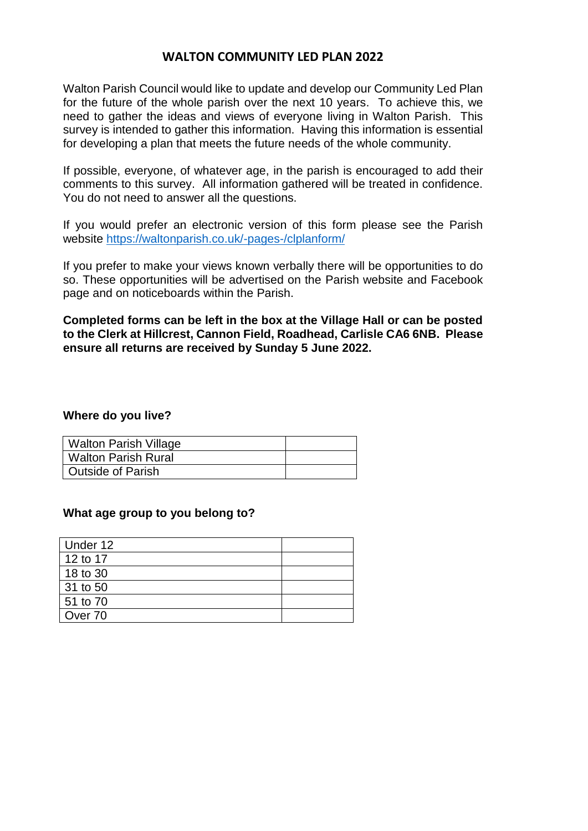## **WALTON COMMUNITY LED PLAN 2022**

Walton Parish Council would like to update and develop our Community Led Plan for the future of the whole parish over the next 10 years. To achieve this, we need to gather the ideas and views of everyone living in Walton Parish. This survey is intended to gather this information. Having this information is essential for developing a plan that meets the future needs of the whole community.

If possible, everyone, of whatever age, in the parish is encouraged to add their comments to this survey. All information gathered will be treated in confidence. You do not need to answer all the questions.

If you would prefer an electronic version of this form please see the Parish website <https://waltonparish.co.uk/-pages-/clplanform/>

If you prefer to make your views known verbally there will be opportunities to do so. These opportunities will be advertised on the Parish website and Facebook page and on noticeboards within the Parish.

**Completed forms can be left in the box at the Village Hall or can be posted to the Clerk at Hillcrest, Cannon Field, Roadhead, Carlisle CA6 6NB. Please ensure all returns are received by Sunday 5 June 2022.**

### **Where do you live?**

| Walton Parish Village    |  |
|--------------------------|--|
| Walton Parish Rural      |  |
| <b>Outside of Parish</b> |  |

## **What age group to you belong to?**

| Under 12 |  |
|----------|--|
| 12 to 17 |  |
| 18 to 30 |  |
| 31 to 50 |  |
| 51 to 70 |  |
| Over 70  |  |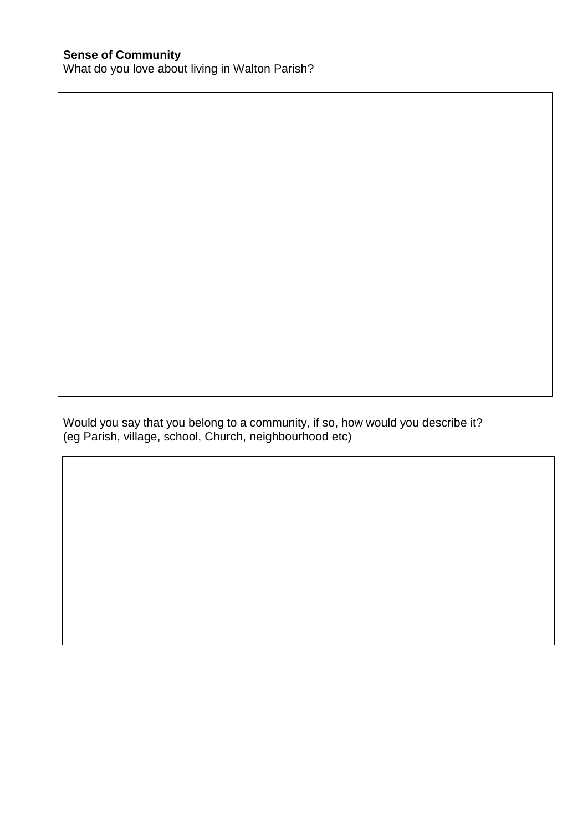Would you say that you belong to a community, if so, how would you describe it? (eg Parish, village, school, Church, neighbourhood etc)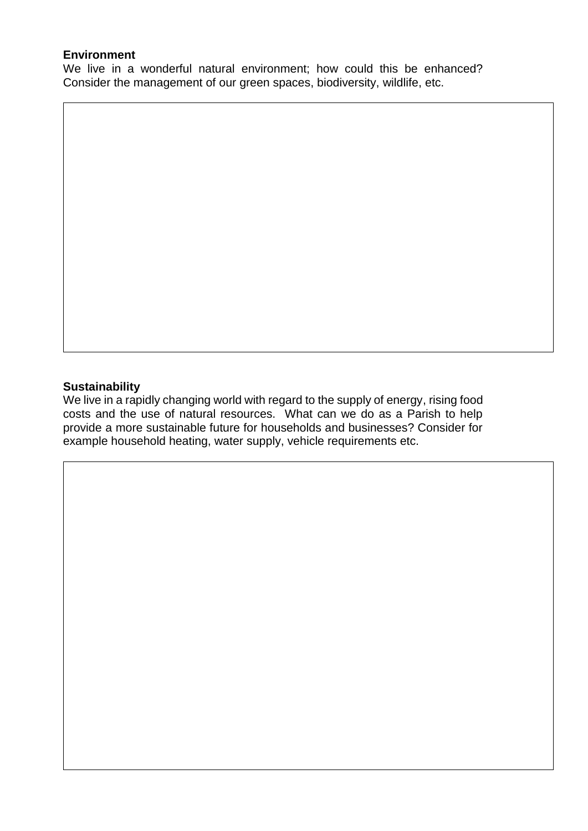## **Environment**

We live in a wonderful natural environment; how could this be enhanced? Consider the management of our green spaces, biodiversity, wildlife, etc.

## **Sustainability**

We live in a rapidly changing world with regard to the supply of energy, rising food costs and the use of natural resources. What can we do as a Parish to help provide a more sustainable future for households and businesses? Consider for example household heating, water supply, vehicle requirements etc.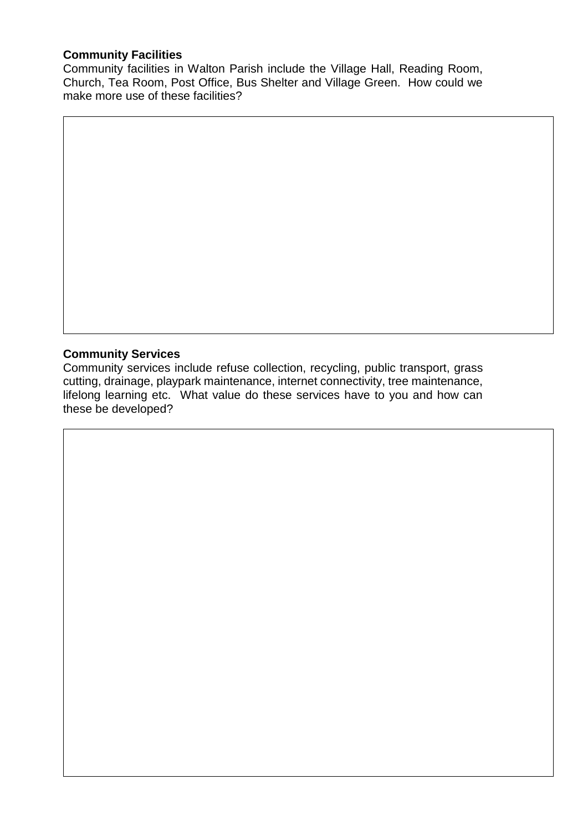## **Community Facilities**

Community facilities in Walton Parish include the Village Hall, Reading Room, Church, Tea Room, Post Office, Bus Shelter and Village Green. How could we make more use of these facilities?

# **Community Services**

Community services include refuse collection, recycling, public transport, grass cutting, drainage, playpark maintenance, internet connectivity, tree maintenance, lifelong learning etc. What value do these services have to you and how can these be developed?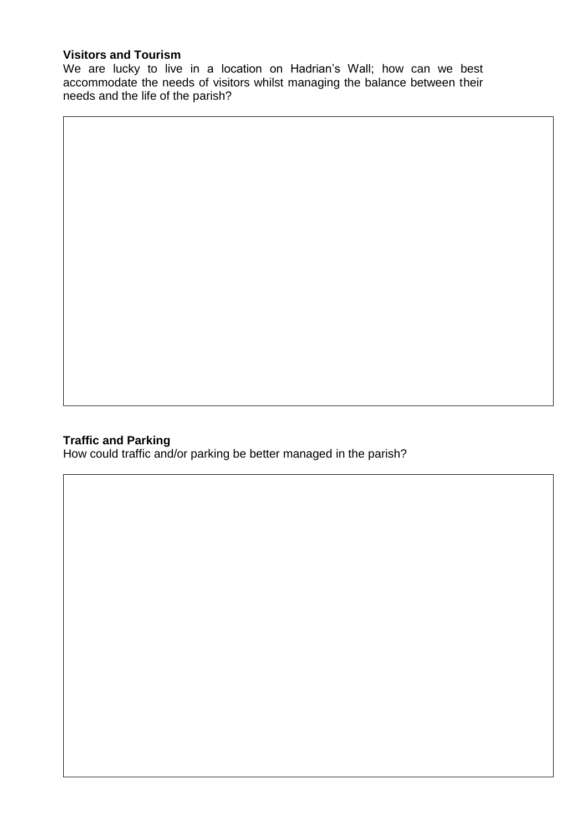## **Visitors and Tourism**

We are lucky to live in a location on Hadrian's Wall; how can we best accommodate the needs of visitors whilst managing the balance between their needs and the life of the parish?

## **Traffic and Parking**

How could traffic and/or parking be better managed in the parish?